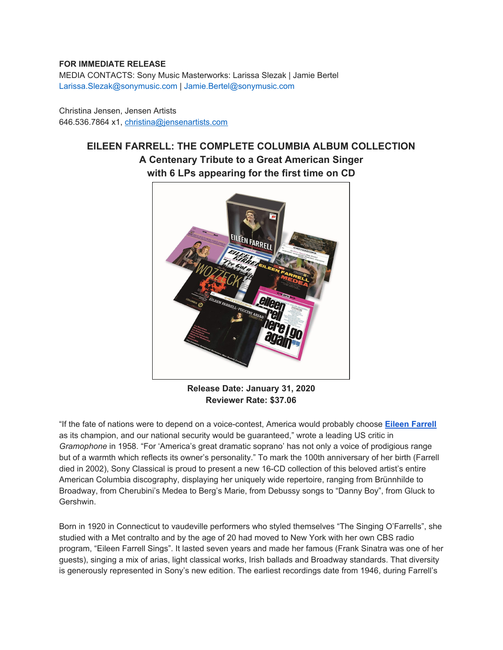## **FOR IMMEDIATE RELEASE**

MEDIA CONTACTS: Sony Music Masterworks: Larissa Slezak | Jamie Bertel Larissa.Slezak@sonymusic.com | Jamie.Bertel@sonymusic.com

Christina Jensen, Jensen Artists 646.536.7864 x1, christina@jensenartists.com

## **EILEEN FARRELL: THE COMPLETE COLUMBIA ALBUM COLLECTION A Centenary Tribute to a Great American Singer with 6 LPs appearing for the first time on CD**



**Release Date: January 31, 2020 Reviewer Rate: \$37.06**

"If the fate of nations were to depend on a voice-contest, America would probably choose **Eileen [Farrell](https://u7061146.ct.sendgrid.net/wf/click?upn=G62jSYfZdO-2F12d8lSllQBzPIYIcZrqoAWj7wUY3TsgoFi9LaCcUuw5O-2Ft8Cd2CsIACcHPmrY5vBKDyNjdN60kBYwwTl6KCORHP5TvO5Ow2uhOeVjw2VfXQcLD1WSZag4_DruDjhchMBr5xQkz3h1qcOnjZc-2BCsAVhraQ7DxYhbA2-2BHLQf-2BHKWaWi2FTM7QHo-2Fd7eCMDRMAhfd2mcWSs-2FpzNW9MmuPwV7rH-2FbDd7DdSSbThEIE8ZR8sfbGL9nbCLG7ymKMfNxxhdnP2dm2ST8FmtJP-2Fd1D4DEn7ZuUfzvsEC0BWPpayDvSpczu7fSL3ndEn7cyy0HiZOdmKlxy0kJHnJwnQUvOAoaTcuBhC8t9jnP5esRJ9I-2B8wIJOEqBjAgGeu1fT5HWil2MJzHnKDpPDMpZowJEwT615i-2FAZc2Q5gHpwhlNHyOjDzIwJAt9Rg77iZZhwns3LQ9Y05-2BHI2Uap-2F4t5DNxM9x047rQVl45YGBM-3D)** as its champion, and our national security would be guaranteed," wrote a leading US critic in *Gramophone* in 1958. "For 'America's great dramatic soprano' has not only a voice of prodigious range but of a warmth which reflects its owner's personality." To mark the 100th anniversary of her birth (Farrell died in 2002), Sony Classical is proud to present a new 16-CD collection of this beloved artist's entire American Columbia discography, displaying her uniquely wide repertoire, ranging from Brünnhilde to Broadway, from Cherubini's Medea to Berg's Marie, from Debussy songs to "Danny Boy", from Gluck to Gershwin.

Born in 1920 in Connecticut to vaudeville performers who styled themselves "The Singing O'Farrells", she studied with a Met contralto and by the age of 20 had moved to New York with her own CBS radio program, "Eileen Farrell Sings". It lasted seven years and made her famous (Frank Sinatra was one of her guests), singing a mix of arias, light classical works, Irish ballads and Broadway standards. That diversity is generously represented in Sony's new edition. The earliest recordings date from 1946, during Farrell's